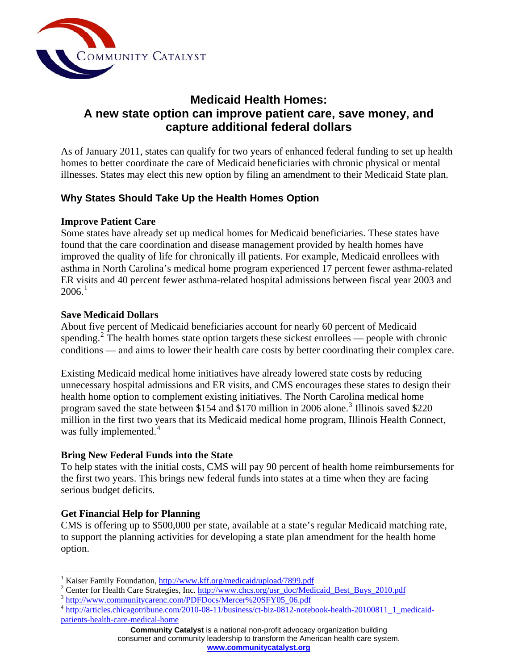

# **Medicaid Health Homes: A new state option can improve patient care, save money, and capture additional federal dollars**

As of January 2011, states can qualify for two years of enhanced federal funding to set up health homes to better coordinate the care of Medicaid beneficiaries with chronic physical or mental illnesses. States may elect this new option by filing an amendment to their Medicaid State plan.

## **Why States Should Take Up the Health Homes Option**

### **Improve Patient Care**

Some states have already set up medical homes for Medicaid beneficiaries. These states have found that the care coordination and disease management provided by health homes have improved the quality of life for chronically ill patients. For example, Medicaid enrollees with asthma in North Carolina's medical home program experienced 17 percent fewer asthma-related ER visits and 40 percent fewer asthma-related hospital admissions between fiscal year 2003 and  $2006.<sup>1</sup>$  $2006.<sup>1</sup>$  $2006.<sup>1</sup>$ 

#### **Save Medicaid Dollars**

About five percent of Medicaid beneficiaries account for nearly 60 percent of Medicaid spending.<sup>[2](#page-0-1)</sup> The health homes state option targets these sickest enrollees — people with chronic conditions — and aims to lower their health care costs by better coordinating their complex care.

Existing Medicaid medical home initiatives have already lowered state costs by reducing unnecessary hospital admissions and ER visits, and CMS encourages these states to design their health home option to complement existing initiatives. The North Carolina medical home program saved the state between \$154 and \$170 million in 2006 alone.<sup>[3](#page-0-2)</sup> Illinois saved \$220 million in the first two years that its Medicaid medical home program, Illinois Health Connect, was fully implemented.<sup>[4](#page-0-3)</sup>

### **Bring New Federal Funds into the State**

To help states with the initial costs, CMS will pay 90 percent of health home reimbursements for the first two years. This brings new federal funds into states at a time when they are facing serious budget deficits.

### **Get Financial Help for Planning**

 $\overline{a}$ 

CMS is offering up to \$500,000 per state, available at a state's regular Medicaid matching rate, to support the planning activities for developing a state plan amendment for the health home option.

<span id="page-0-0"></span><sup>1</sup> Kaiser Family Foundation, <http://www.kff.org/medicaid/upload/7899.pdf> <sup>2</sup>

<span id="page-0-1"></span><sup>&</sup>lt;sup>2</sup> Center for Health Care Strategies, Inc. [http://www.chcs.org/usr\\_doc/Medicaid\\_Best\\_Buys\\_2010.pdf](http://www.chcs.org/usr_doc/Medicaid_Best_Buys_2010.pdf)  $^3$  [http://www.communitycarenc.com/PDFDocs/Mercer%20SFY05\\_06.pdf](http://www.communitycarenc.com/PDFDocs/Mercer%20SFY05_06.pdf)

<span id="page-0-2"></span>

<span id="page-0-3"></span><sup>&</sup>lt;sup>4</sup> [http://articles.chicagotribune.com/2010-08-11/business/ct-biz-0812-notebook-health-20100811\\_1\\_medicaid](http://articles.chicagotribune.com/2010-08-11/business/ct-biz-0812-notebook-health-20100811_1_medicaid-patients-health-care-medical-home)[patients-health-care-medical-home](http://articles.chicagotribune.com/2010-08-11/business/ct-biz-0812-notebook-health-20100811_1_medicaid-patients-health-care-medical-home)

**Community Catalyst** is a national non-profit advocacy organization building consumer and community leadership to transform the American health care system. **www.communitycatalyst.org**